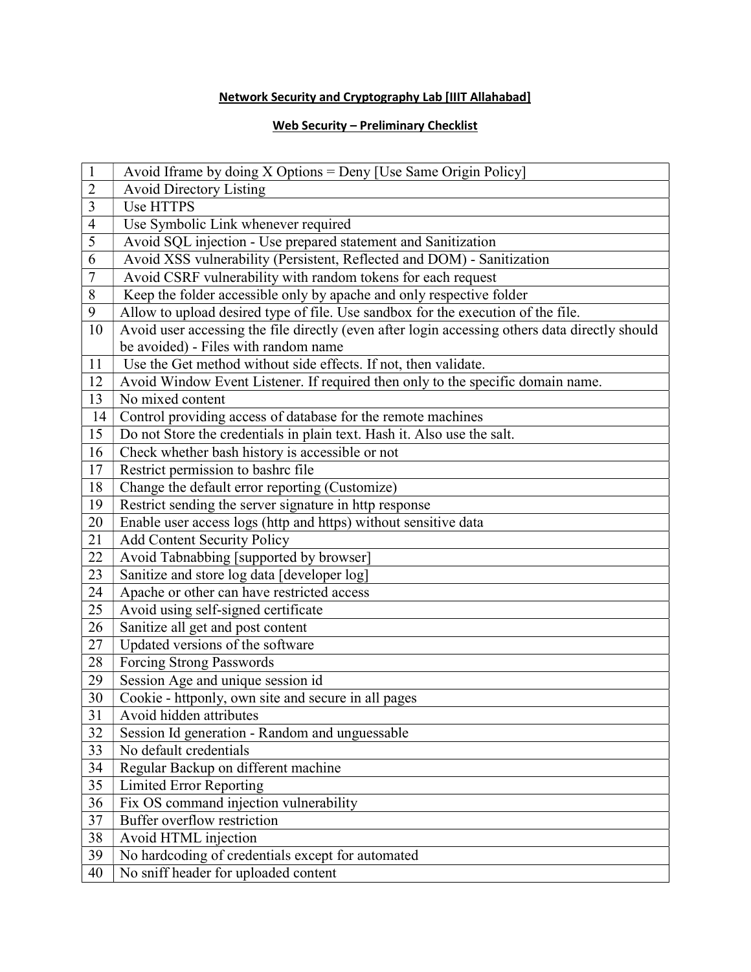## Network Security and Cryptography Lab [IIIT Allahabad]

## Web Security – Preliminary Checklist

| $\mathbf{1}$   | Avoid Iframe by doing X Options = Deny [Use Same Origin Policy]                                |
|----------------|------------------------------------------------------------------------------------------------|
| $\overline{2}$ | <b>Avoid Directory Listing</b>                                                                 |
| 3              | <b>Use HTTPS</b>                                                                               |
| $\overline{4}$ | Use Symbolic Link whenever required                                                            |
| 5              | Avoid SQL injection - Use prepared statement and Sanitization                                  |
| 6              | Avoid XSS vulnerability (Persistent, Reflected and DOM) - Sanitization                         |
| $\overline{7}$ | Avoid CSRF vulnerability with random tokens for each request                                   |
| 8              | Keep the folder accessible only by apache and only respective folder                           |
| 9              | Allow to upload desired type of file. Use sandbox for the execution of the file.               |
| 10             | Avoid user accessing the file directly (even after login accessing others data directly should |
|                | be avoided) - Files with random name                                                           |
| 11             | Use the Get method without side effects. If not, then validate.                                |
| 12             | Avoid Window Event Listener. If required then only to the specific domain name.                |
| 13             | No mixed content                                                                               |
| 14             | Control providing access of database for the remote machines                                   |
| 15             | Do not Store the credentials in plain text. Hash it. Also use the salt.                        |
| 16             | Check whether bash history is accessible or not                                                |
| 17             | Restrict permission to bashrc file                                                             |
| 18             | Change the default error reporting (Customize)                                                 |
| 19             | Restrict sending the server signature in http response                                         |
| 20             | Enable user access logs (http and https) without sensitive data                                |
| 21             | <b>Add Content Security Policy</b>                                                             |
| 22             | Avoid Tabnabbing [supported by browser]                                                        |
| 23             | Sanitize and store log data [developer log]                                                    |
| 24             | Apache or other can have restricted access                                                     |
| 25             | Avoid using self-signed certificate                                                            |
| 26             | Sanitize all get and post content                                                              |
| 27             | Updated versions of the software                                                               |
| 28             | Forcing Strong Passwords                                                                       |
| 29             | Session Age and unique session id                                                              |
| 30             | Cookie - httponly, own site and secure in all pages                                            |
| 31             | Avoid hidden attributes                                                                        |
| 32             | Session Id generation - Random and unguessable                                                 |
| 33             | No default credentials                                                                         |
| 34             | Regular Backup on different machine                                                            |
| 35             | <b>Limited Error Reporting</b>                                                                 |
| 36             | Fix OS command injection vulnerability                                                         |
| 37             | Buffer overflow restriction                                                                    |
| 38             | Avoid HTML injection                                                                           |
| 39             | No hardcoding of credentials except for automated                                              |
| 40             | No sniff header for uploaded content                                                           |